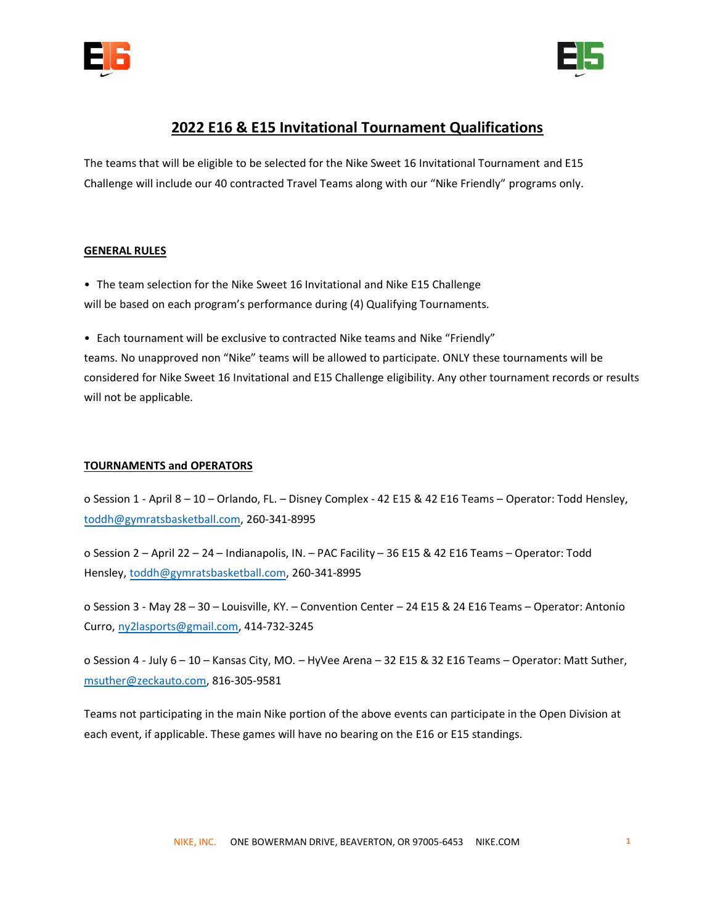



# **2022 E16 & E15 Invitational Tournament Qualifications**

The teams that will be eligible to be selected for the Nike Sweet 16 Invitational Tournament and E15 Challenge will include our 40 contracted Travel Teams along with our "Nike Friendly" programs only.

# **GENERAL RULES**

- The team selection for the Nike Sweet 16 Invitational and Nike E15 Challenge will be based on each program's performance during (4) Qualifying Tournaments.
- Each tournament will be exclusive to contracted Nike teams and Nike "Friendly"

teams. No unapproved non "Nike" teams will be allowed to participate. ONLY these tournaments will be considered for Nike Sweet 16 Invitational and E15 Challenge eligibility. Any other tournament records or results will not be applicable.

### **TOURNAMENTS and OPERATORS**

o Session 1 - April 8 – 10 – Orlando, FL. – Disney Complex - 42 E15 & 42 E16 Teams – Operator: Todd Hensley, [toddh@gymratsbasketball.com,](mailto:toddh@gymratsbasketball.com) 260-341-8995

o Session 2 – April 22 – 24 – Indianapolis, IN. – PAC Facility – 36 E15 & 42 E16 Teams – Operator: Todd Hensley, [toddh@gymratsbasketball.com,](mailto:toddh@gymratsbasketball.com) 260-341-8995

o Session 3 - May 28 – 30 – Louisville, KY. – Convention Center – 24 E15 & 24 E16 Teams – Operator: Antonio Curro, [ny2lasports@gmail.com,](mailto:ny2lasports@gmail.com) 414-732-3245

o Session 4 - July 6 – 10 – Kansas City, MO. – HyVee Arena – 32 E15 & 32 E16 Teams – Operator: Matt Suther, [msuther@zeckauto.com,](mailto:msuther@zeckauto.com) 816-305-9581

Teams not participating in the main Nike portion of the above events can participate in the Open Division at each event, if applicable. These games will have no bearing on the E16 or E15 standings.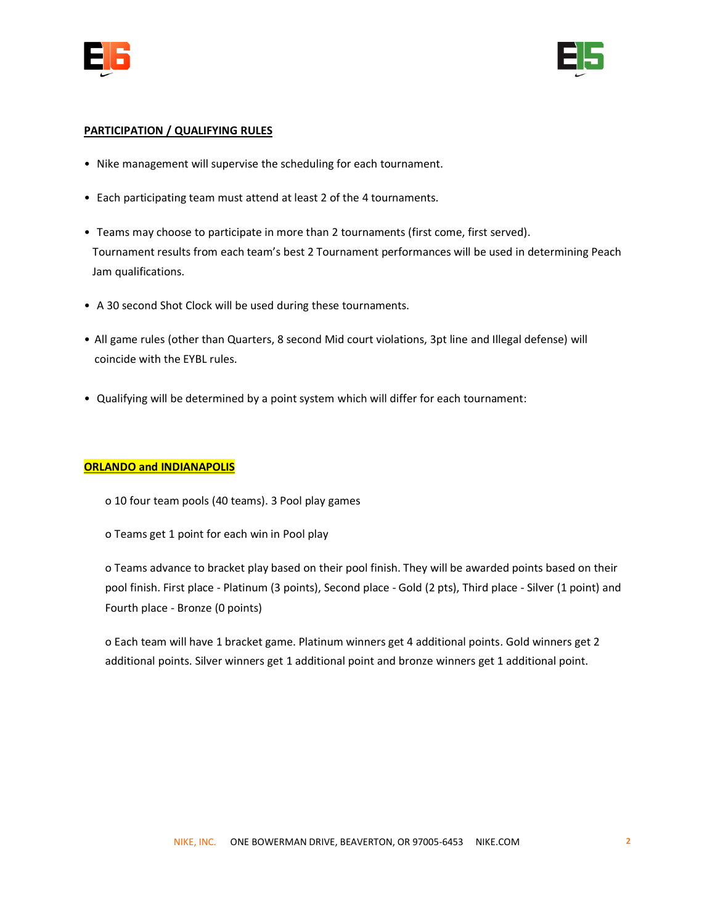



### **PARTICIPATION / QUALIFYING RULES**

- Nike management will supervise the scheduling for each tournament.
- Each participating team must attend at least 2 of the 4 tournaments.
- Teams may choose to participate in more than 2 tournaments (first come, first served). Tournament results from each team's best 2 Tournament performances will be used in determining Peach Jam qualifications.
- A 30 second Shot Clock will be used during these tournaments.
- All game rules (other than Quarters, 8 second Mid court violations, 3pt line and Illegal defense) will coincide with the EYBL rules.
- Qualifying will be determined by a point system which will differ for each tournament:

# **ORLANDO and INDIANAPOLIS**

- o 10 four team pools (40 teams). 3 Pool play games
- o Teams get 1 point for each win in Pool play

o Teams advance to bracket play based on their pool finish. They will be awarded points based on their pool finish. First place - Platinum (3 points), Second place - Gold (2 pts), Third place - Silver (1 point) and Fourth place - Bronze (0 points)

o Each team will have 1 bracket game. Platinum winners get 4 additional points. Gold winners get 2 additional points. Silver winners get 1 additional point and bronze winners get 1 additional point.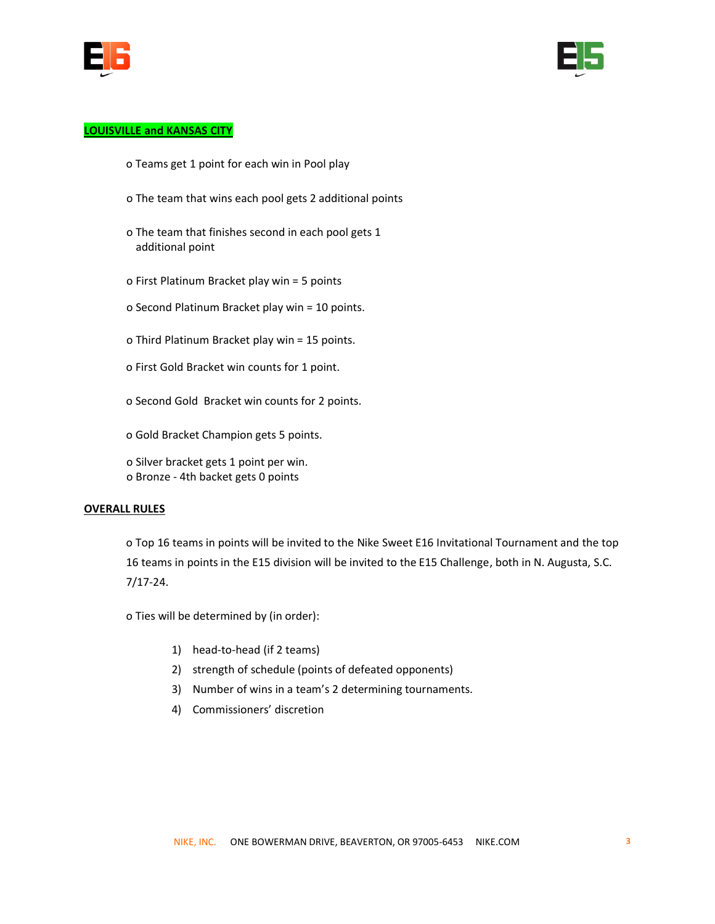



# **LOUISVILLE and KANSAS CITY**

- o Teams get 1 point for each win in Pool play
- o The team that wins each pool gets 2 additional points
- o The team that finishes second in each pool gets 1 additional point
- o First Platinum Bracket play win = 5 points
- o Second Platinum Bracket play win = 10 points.
- o Third Platinum Bracket play win = 15 points.
- o First Gold Bracket win counts for 1 point.
- o Second Gold Bracket win counts for 2 points.
- o Gold Bracket Champion gets 5 points.

o Silver bracket gets 1 point per win. o Bronze - 4th backet gets 0 points

#### **OVERALL RULES**

o Top 16 teams in points will be invited to the Nike Sweet E16 Invitational Tournament and the top 16 teams in points in the E15 division will be invited to the E15 Challenge, both in N. Augusta, S.C. 7/17-24.

o Ties will be determined by (in order):

- 1) head-to-head (if 2 teams)
- 2) strength of schedule (points of defeated opponents)
- 3) Number of wins in a team's 2 determining tournaments.
- 4) Commissioners' discretion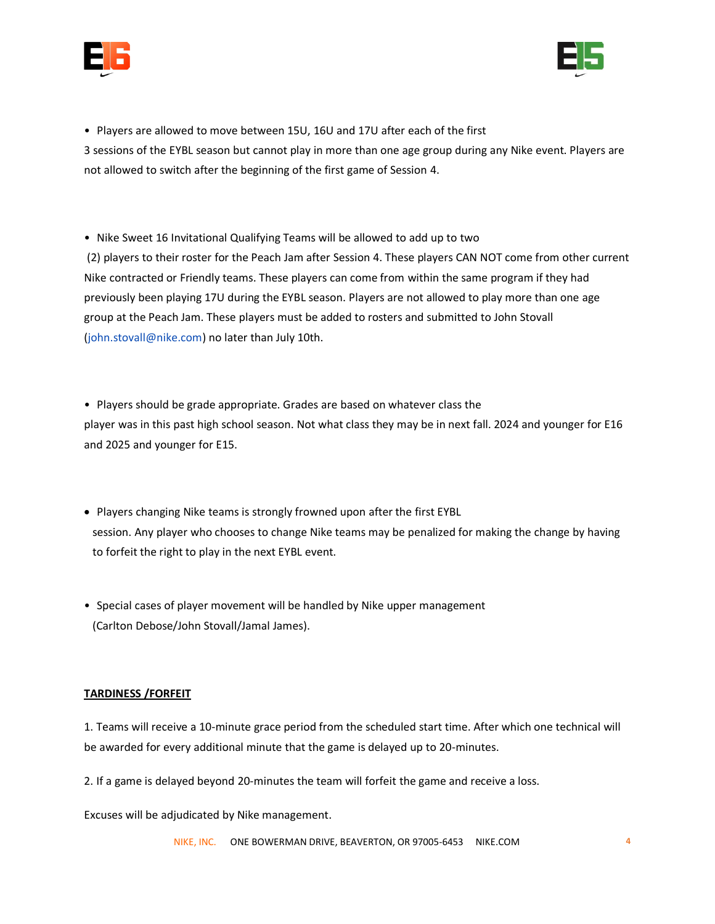



• Players are allowed to move between 15U, 16U and 17U after each of the first 3 sessions of the EYBL season but cannot play in more than one age group during any Nike event. Players are not allowed to switch after the beginning of the first game of Session 4.

• Nike Sweet 16 Invitational Qualifying Teams will be allowed to add up to two (2) players to their roster for the Peach Jam after Session 4. These players CAN NOT come from other current Nike contracted or Friendly teams. These players can come from within the same program if they had previously been playing 17U during the EYBL season. Players are not allowed to play more than one age group at the Peach Jam. These players must be added to rosters and submitted to John Stovall (john.stovall@nike.com) no later than July 10th.

• Players should be grade appropriate. Grades are based on whatever class the player was in this past high school season. Not what class they may be in next fall. 2024 and younger for E16 and 2025 and younger for E15.

- Players changing Nike teams is strongly frowned upon after the first EYBL session. Any player who chooses to change Nike teams may be penalized for making the change by having to forfeit the right to play in the next EYBL event.
- Special cases of player movement will be handled by Nike upper management (Carlton Debose/John Stovall/Jamal James).

# **TARDINESS /FORFEIT**

1. Teams will receive a 10-minute grace period from the scheduled start time. After which one technical will be awarded for every additional minute that the game is delayed up to 20-minutes.

2. If a game is delayed beyond 20-minutes the team will forfeit the game and receive a loss.

Excuses will be adjudicated by Nike management.